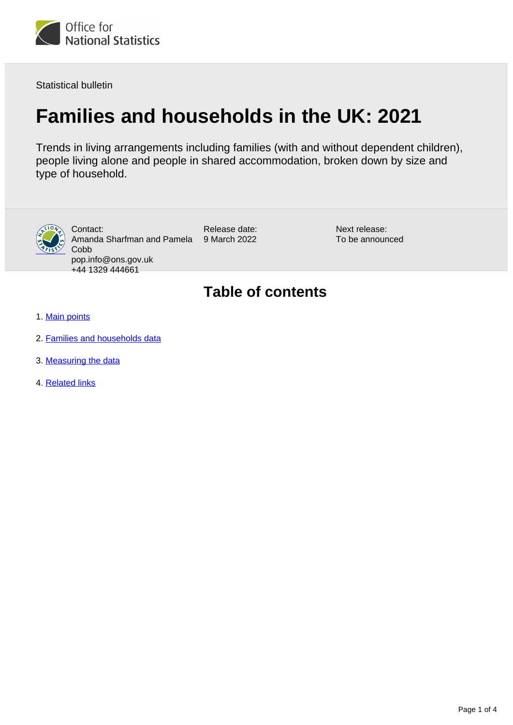

Statistical bulletin

# **Families and households in the UK: 2021**

Trends in living arrangements including families (with and without dependent children), people living alone and people in shared accommodation, broken down by size and type of household.



Contact: Amanda Sharfman and Pamela Cobb pop.info@ons.gov.uk +44 1329 444661

Release date: 9 March 2022

Next release: To be announced

### **Table of contents**

- 1. [Main points](#page-1-0)
- 2. [Families and households data](#page-1-1)
- 3. [Measuring the data](#page-2-0)
- 4. [Related links](#page-3-0)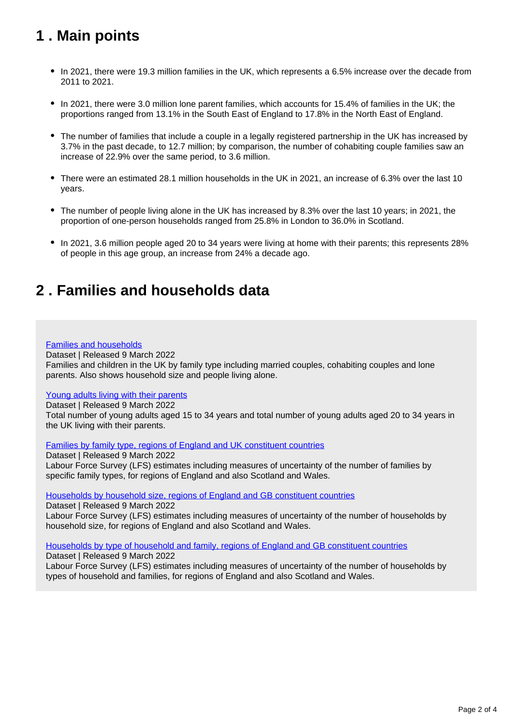### <span id="page-1-0"></span>**1 . Main points**

- In 2021, there were 19.3 million families in the UK, which represents a 6.5% increase over the decade from 2011 to 2021.
- In 2021, there were 3.0 million lone parent families, which accounts for 15.4% of families in the UK; the proportions ranged from 13.1% in the South East of England to 17.8% in the North East of England.
- The number of families that include a couple in a legally registered partnership in the UK has increased by 3.7% in the past decade, to 12.7 million; by comparison, the number of cohabiting couple families saw an increase of 22.9% over the same period, to 3.6 million.
- There were an estimated 28.1 million households in the UK in 2021, an increase of 6.3% over the last 10 years.
- The number of people living alone in the UK has increased by 8.3% over the last 10 years; in 2021, the proportion of one-person households ranged from 25.8% in London to 36.0% in Scotland.
- In 2021, 3.6 million people aged 20 to 34 years were living at home with their parents; this represents 28% of people in this age group, an increase from 24% a decade ago.

### <span id="page-1-1"></span>**2 . Families and households data**

#### [Families and households](https://www.ons.gov.uk/peoplepopulationandcommunity/birthsdeathsandmarriages/families/datasets/familiesandhouseholdsfamiliesandhouseholds)

Dataset | Released 9 March 2022 Families and children in the UK by family type including married couples, cohabiting couples and lone parents. Also shows household size and people living alone.

#### [Young adults living with their parents](https://www.ons.gov.uk/peoplepopulationandcommunity/birthsdeathsandmarriages/families/datasets/youngadultslivingwiththeirparents)

Dataset | Released 9 March 2022

Total number of young adults aged 15 to 34 years and total number of young adults aged 20 to 34 years in the UK living with their parents.

[Families by family type, regions of England and UK constituent countries](https://www.ons.gov.uk/peoplepopulationandcommunity/birthsdeathsandmarriages/families/datasets/familiesbyfamilytyperegionsofenglandandukconstituentcountries)

Dataset | Released 9 March 2022 Labour Force Survey (LFS) estimates including measures of uncertainty of the number of families by specific family types, for regions of England and also Scotland and Wales.

[Households by household size, regions of England and GB constituent countries](https://www.ons.gov.uk/peoplepopulationandcommunity/birthsdeathsandmarriages/families/datasets/householdsbyhouseholdsizeregionsofenglandandukconstituentcountries)

Dataset | Released 9 March 2022 Labour Force Survey (LFS) estimates including measures of uncertainty of the number of households by household size, for regions of England and also Scotland and Wales.

#### [Households by type of household and family, regions of England and GB constituent countries](https://www.ons.gov.uk/peoplepopulationandcommunity/birthsdeathsandmarriages/families/datasets/householdsbytypeofhouseholdandfamilyregionsofenglandandukconstituentcountries)

Dataset | Released 9 March 2022 Labour Force Survey (LFS) estimates including measures of uncertainty of the number of households by types of household and families, for regions of England and also Scotland and Wales.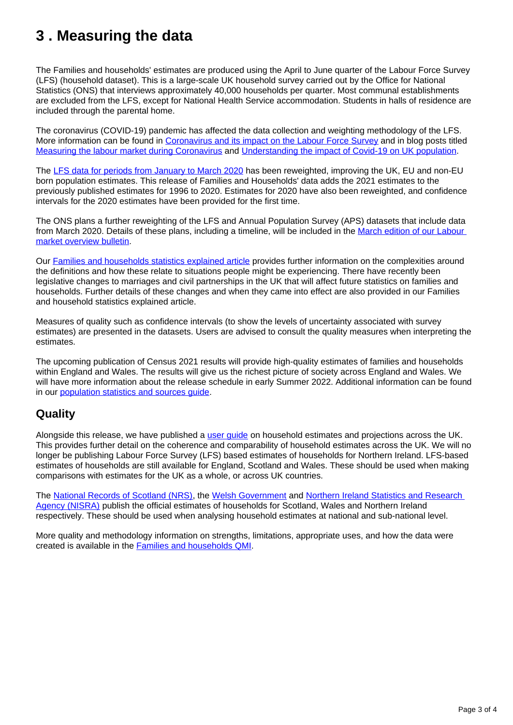### <span id="page-2-0"></span>**3 . Measuring the data**

The Families and households' estimates are produced using the April to June quarter of the Labour Force Survey (LFS) (household dataset). This is a large-scale UK household survey carried out by the Office for National Statistics (ONS) that interviews approximately 40,000 households per quarter. Most communal establishments are excluded from the LFS, except for National Health Service accommodation. Students in halls of residence are included through the parental home.

The coronavirus (COVID-19) pandemic has affected the data collection and weighting methodology of the LFS. More information can be found in [Coronavirus and its impact on the Labour Force Survey](https://www.ons.gov.uk/employmentandlabourmarket/peopleinwork/employmentandemployeetypes/articles/coronavirusanditsimpactonthelabourforcesurvey/2020-10-13) and in blog posts titled [Measuring the labour market during Coronavirus](https://blog.ons.gov.uk/2020/04/20/measuring-the-labour-market-during-coronavirus/) and [Understanding the impact of Covid-19 on UK population.](https://blog.ons.gov.uk/2021/01/25/understanding-how-the-pandemic-population/)

The [LFS data for periods from January to March 2020](https://www.ons.gov.uk/employmentandlabourmarket/peopleinwork/employmentandemployeetypes/articles/impactofreweightingonlabourforcesurveykeyindicatorsuk/2020) has been reweighted, improving the UK, EU and non-EU born population estimates. This release of Families and Households' data adds the 2021 estimates to the previously published estimates for 1996 to 2020. Estimates for 2020 have also been reweighted, and confidence intervals for the 2020 estimates have been provided for the first time.

The ONS plans a further reweighting of the LFS and Annual Population Survey (APS) datasets that include data from March 2020. Details of these plans, including a timeline, will be included in the [March edition of our Labour](https://www.ons.gov.uk/employmentandlabourmarket/peopleinwork/employmentandemployeetypes/bulletins/uklabourmarket/previousReleases)  [market overview bulletin](https://www.ons.gov.uk/employmentandlabourmarket/peopleinwork/employmentandemployeetypes/bulletins/uklabourmarket/previousReleases).

Our [Families and households statistics explained article](https://www.ons.gov.uk/peoplepopulationandcommunity/birthsdeathsandmarriages/families/articles/familiesandhouseholdsstatisticsexplained/2021-03-02) provides further information on the complexities around the definitions and how these relate to situations people might be experiencing. There have recently been legislative changes to marriages and civil partnerships in the UK that will affect future statistics on families and households. Further details of these changes and when they came into effect are also provided in our Families and household statistics explained article.

Measures of quality such as confidence intervals (to show the levels of uncertainty associated with survey estimates) are presented in the datasets. Users are advised to consult the quality measures when interpreting the estimates.

The upcoming publication of Census 2021 results will provide high-quality estimates of families and households within England and Wales. The results will give us the richest picture of society across England and Wales. We will have more information about the release schedule in early Summer 2022. Additional information can be found in our [population statistics and sources guide](https://www.ons.gov.uk/peoplepopulationandcommunity/populationandmigration/populationestimates/methodologies/populationstatisticsandsourcesguide).

### **Quality**

Alongside this release, we have published a user quide on household estimates and projections across the UK. This provides further detail on the coherence and comparability of household estimates across the UK. We will no longer be publishing Labour Force Survey (LFS) based estimates of households for Northern Ireland. LFS-based estimates of households are still available for England, Scotland and Wales. These should be used when making comparisons with estimates for the UK as a whole, or across UK countries.

The [National Records of Scotland \(NRS\),](https://www.nrscotland.gov.uk/statistics-and-data/statistics/scotlands-facts/households-in-scotland) the [Welsh Government](https://gov.wales/household-estimates-mid-2020) and [Northern Ireland Statistics and Research](https://www.nisra.gov.uk/statistics/population/household-projections)  [Agency \(NISRA\)](https://www.nisra.gov.uk/statistics/population/household-projections) publish the official estimates of households for Scotland, Wales and Northern Ireland respectively. These should be used when analysing household estimates at national and sub-national level.

More quality and methodology information on strengths, limitations, appropriate uses, and how the data were created is available in the [Families and households QMI.](https://www.ons.gov.uk/peoplepopulationandcommunity/birthsdeathsandmarriages/families/methodologies/familiesandhouseholdsqmi)